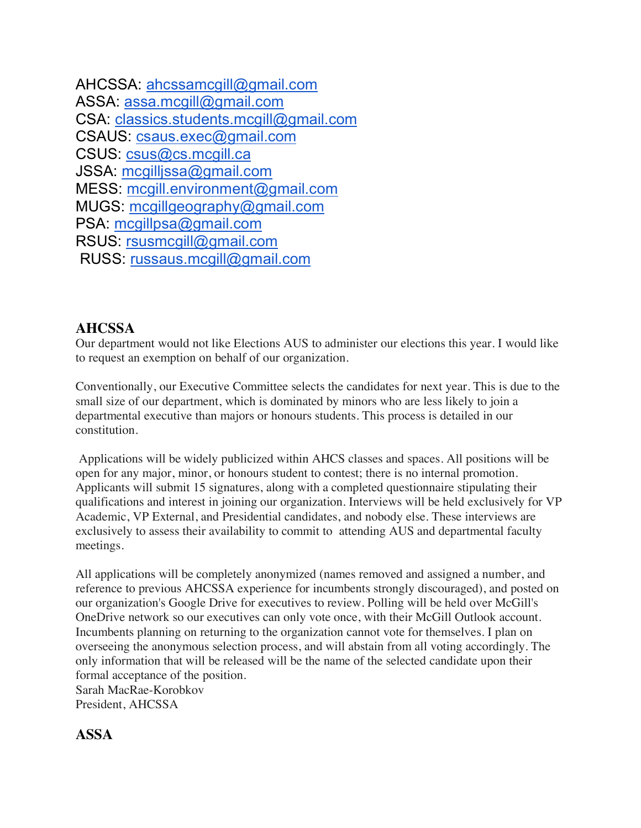| AHCSSA: ahcssamcgill@gmail.com          |
|-----------------------------------------|
| ASSA: assa.mcgill@gmail.com             |
| CSA: classics.students.mcgill@gmail.com |
| CSAUS: csaus.exec@gmail.com             |
| CSUS: csus@cs.mcgill.ca                 |
| JSSA: mcgilljssa@gmail.com              |
| MESS: mcgill.environment@gmail.com      |
| MUGS: mcgillgeography@gmail.com         |
| PSA: mcgillpsa@gmail.com                |
| RSUS: rsusmcgill@gmail.com              |
| RUSS: russaus.mcgill@gmail.com          |
|                                         |

### **AHCSSA**

Our department would not like Elections AUS to administer our elections this year. I would like to request an exemption on behalf of our organization.

Conventionally, our Executive Committee selects the candidates for next year. This is due to the small size of our department, which is dominated by minors who are less likely to join a departmental executive than majors or honours students. This process is detailed in our constitution.

Applications will be widely publicized within AHCS classes and spaces. All positions will be open for any major, minor, or honours student to contest; there is no internal promotion. Applicants will submit 15 signatures, along with a completed questionnaire stipulating their qualifications and interest in joining our organization. Interviews will be held exclusively for VP Academic, VP External, and Presidential candidates, and nobody else. These interviews are exclusively to assess their availability to commit to attending AUS and departmental faculty meetings.

All applications will be completely anonymized (names removed and assigned a number, and reference to previous AHCSSA experience for incumbents strongly discouraged), and posted on our organization's Google Drive for executives to review. Polling will be held over McGill's OneDrive network so our executives can only vote once, with their McGill Outlook account. Incumbents planning on returning to the organization cannot vote for themselves. I plan on overseeing the anonymous selection process, and will abstain from all voting accordingly. The only information that will be released will be the name of the selected candidate upon their formal acceptance of the position. Sarah MacRae-Korobkov

President, AHCSSA

## **ASSA**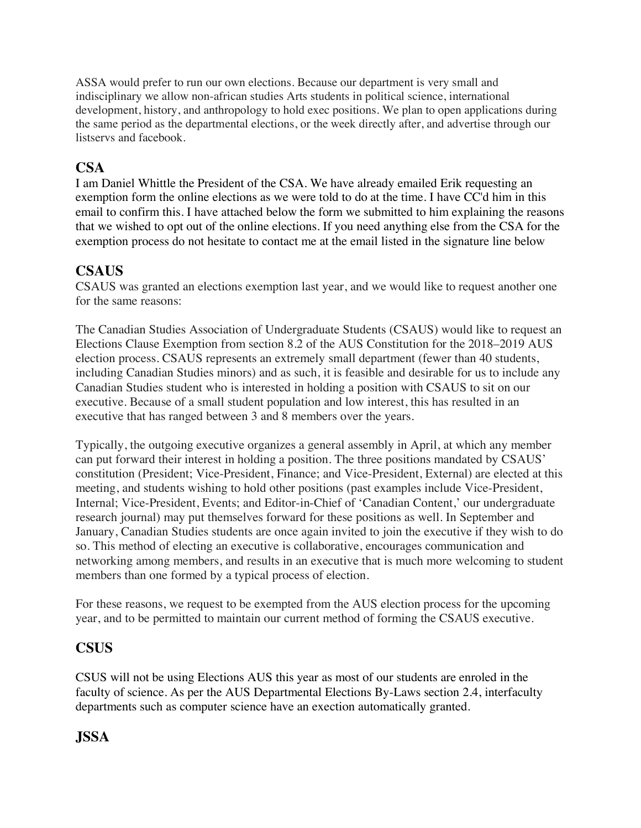ASSA would prefer to run our own elections. Because our department is very small and indisciplinary we allow non-african studies Arts students in political science, international development, history, and anthropology to hold exec positions. We plan to open applications during the same period as the departmental elections, or the week directly after, and advertise through our listservs and facebook.

# **CSA**

I am Daniel Whittle the President of the CSA. We have already emailed Erik requesting an exemption form the online elections as we were told to do at the time. I have CC'd him in this email to confirm this. I have attached below the form we submitted to him explaining the reasons that we wished to opt out of the online elections. If you need anything else from the CSA for the exemption process do not hesitate to contact me at the email listed in the signature line below

# **CSAUS**

CSAUS was granted an elections exemption last year, and we would like to request another one for the same reasons:

The Canadian Studies Association of Undergraduate Students (CSAUS) would like to request an Elections Clause Exemption from section 8.2 of the AUS Constitution for the 2018–2019 AUS election process. CSAUS represents an extremely small department (fewer than 40 students, including Canadian Studies minors) and as such, it is feasible and desirable for us to include any Canadian Studies student who is interested in holding a position with CSAUS to sit on our executive. Because of a small student population and low interest, this has resulted in an executive that has ranged between 3 and 8 members over the years.

Typically, the outgoing executive organizes a general assembly in April, at which any member can put forward their interest in holding a position. The three positions mandated by CSAUS' constitution (President; Vice-President, Finance; and Vice-President, External) are elected at this meeting, and students wishing to hold other positions (past examples include Vice-President, Internal; Vice-President, Events; and Editor-in-Chief of 'Canadian Content,' our undergraduate research journal) may put themselves forward for these positions as well. In September and January, Canadian Studies students are once again invited to join the executive if they wish to do so. This method of electing an executive is collaborative, encourages communication and networking among members, and results in an executive that is much more welcoming to student members than one formed by a typical process of election.

For these reasons, we request to be exempted from the AUS election process for the upcoming year, and to be permitted to maintain our current method of forming the CSAUS executive.

## **CSUS**

CSUS will not be using Elections AUS this year as most of our students are enroled in the faculty of science. As per the AUS Departmental Elections By-Laws section 2.4, interfaculty departments such as computer science have an exection automatically granted.

# **JSSA**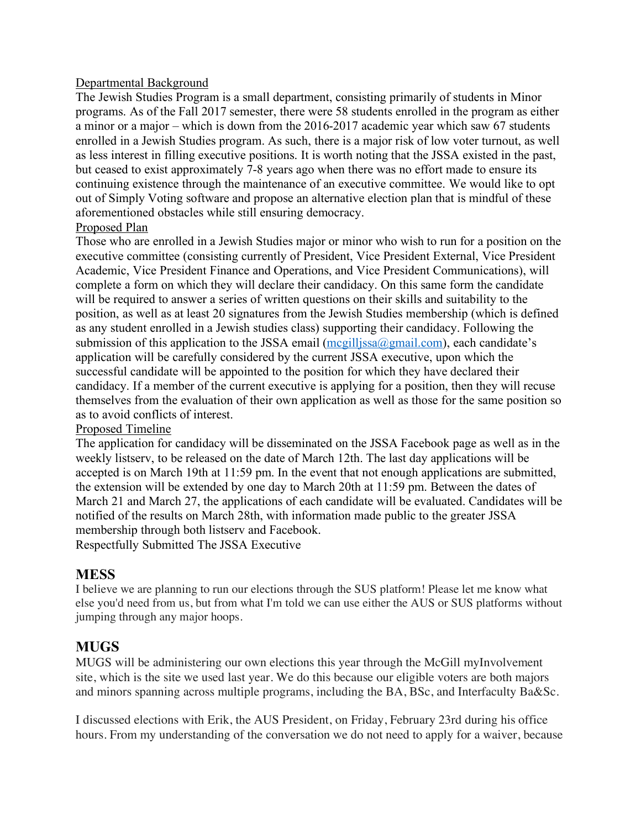#### Departmental Background

The Jewish Studies Program is a small department, consisting primarily of students in Minor programs. As of the Fall 2017 semester, there were 58 students enrolled in the program as either a minor or a major – which is down from the 2016-2017 academic year which saw 67 students enrolled in a Jewish Studies program. As such, there is a major risk of low voter turnout, as well as less interest in filling executive positions. It is worth noting that the JSSA existed in the past, but ceased to exist approximately 7-8 years ago when there was no effort made to ensure its continuing existence through the maintenance of an executive committee. We would like to opt out of Simply Voting software and propose an alternative election plan that is mindful of these aforementioned obstacles while still ensuring democracy.

#### Proposed Plan

Those who are enrolled in a Jewish Studies major or minor who wish to run for a position on the executive committee (consisting currently of President, Vice President External, Vice President Academic, Vice President Finance and Operations, and Vice President Communications), will complete a form on which they will declare their candidacy. On this same form the candidate will be required to answer a series of written questions on their skills and suitability to the position, as well as at least 20 signatures from the Jewish Studies membership (which is defined as any student enrolled in a Jewish studies class) supporting their candidacy. Following the submission of this application to the JSSA email  $(mcgilljssa@gmail.com)$ , each candidate's application will be carefully considered by the current JSSA executive, upon which the successful candidate will be appointed to the position for which they have declared their candidacy. If a member of the current executive is applying for a position, then they will recuse themselves from the evaluation of their own application as well as those for the same position so as to avoid conflicts of interest.

#### Proposed Timeline

The application for candidacy will be disseminated on the JSSA Facebook page as well as in the weekly listserv, to be released on the date of March 12th. The last day applications will be accepted is on March 19th at 11:59 pm. In the event that not enough applications are submitted, the extension will be extended by one day to March 20th at 11:59 pm. Between the dates of March 21 and March 27, the applications of each candidate will be evaluated. Candidates will be notified of the results on March 28th, with information made public to the greater JSSA membership through both listserv and Facebook.

Respectfully Submitted The JSSA Executive

### **MESS**

I believe we are planning to run our elections through the SUS platform! Please let me know what else you'd need from us, but from what I'm told we can use either the AUS or SUS platforms without jumping through any major hoops.

### **MUGS**

MUGS will be administering our own elections this year through the McGill myInvolvement site, which is the site we used last year. We do this because our eligible voters are both majors and minors spanning across multiple programs, including the BA, BSc, and Interfaculty Ba&Sc.

I discussed elections with Erik, the AUS President, on Friday, February 23rd during his office hours. From my understanding of the conversation we do not need to apply for a waiver, because